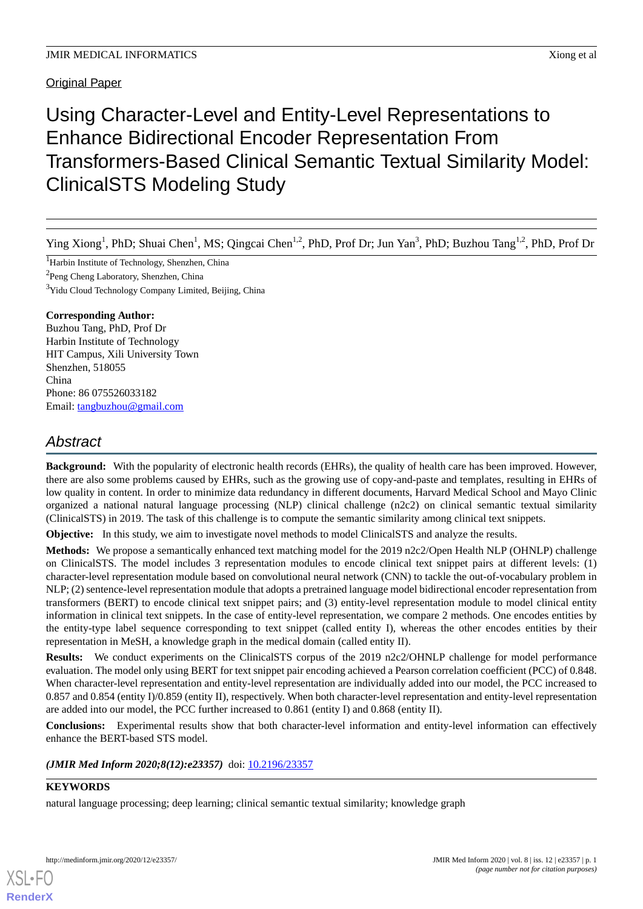Original Paper

# Using Character-Level and Entity-Level Representations to Enhance Bidirectional Encoder Representation From Transformers-Based Clinical Semantic Textual Similarity Model: ClinicalSTS Modeling Study

Ying Xiong<sup>1</sup>, PhD; Shuai Chen<sup>1</sup>, MS; Qingcai Chen<sup>1,2</sup>, PhD, Prof Dr; Jun Yan<sup>3</sup>, PhD; Buzhou Tang<sup>1,2</sup>, PhD, Prof Dr

<sup>1</sup>Harbin Institute of Technology, Shenzhen, China

<sup>2</sup>Peng Cheng Laboratory, Shenzhen, China

<sup>3</sup>Yidu Cloud Technology Company Limited, Beijing, China

# **Corresponding Author:**

Buzhou Tang, PhD, Prof Dr Harbin Institute of Technology HIT Campus, Xili University Town Shenzhen, 518055 China Phone: 86 075526033182 Email: [tangbuzhou@gmail.com](mailto:tangbuzhou@gmail.com)

# *Abstract*

**Background:** With the popularity of electronic health records (EHRs), the quality of health care has been improved. However, there are also some problems caused by EHRs, such as the growing use of copy-and-paste and templates, resulting in EHRs of low quality in content. In order to minimize data redundancy in different documents, Harvard Medical School and Mayo Clinic organized a national natural language processing (NLP) clinical challenge (n2c2) on clinical semantic textual similarity (ClinicalSTS) in 2019. The task of this challenge is to compute the semantic similarity among clinical text snippets.

**Objective:** In this study, we aim to investigate novel methods to model ClinicalSTS and analyze the results.

**Methods:** We propose a semantically enhanced text matching model for the 2019 n2c2/Open Health NLP (OHNLP) challenge on ClinicalSTS. The model includes 3 representation modules to encode clinical text snippet pairs at different levels: (1) character-level representation module based on convolutional neural network (CNN) to tackle the out-of-vocabulary problem in NLP; (2) sentence-level representation module that adopts a pretrained language model bidirectional encoder representation from transformers (BERT) to encode clinical text snippet pairs; and (3) entity-level representation module to model clinical entity information in clinical text snippets. In the case of entity-level representation, we compare 2 methods. One encodes entities by the entity-type label sequence corresponding to text snippet (called entity I), whereas the other encodes entities by their representation in MeSH, a knowledge graph in the medical domain (called entity II).

**Results:** We conduct experiments on the ClinicalSTS corpus of the 2019 n2c2/OHNLP challenge for model performance evaluation. The model only using BERT for text snippet pair encoding achieved a Pearson correlation coefficient (PCC) of 0.848. When character-level representation and entity-level representation are individually added into our model, the PCC increased to 0.857 and 0.854 (entity I)/0.859 (entity II), respectively. When both character-level representation and entity-level representation are added into our model, the PCC further increased to 0.861 (entity I) and 0.868 (entity II).

**Conclusions:** Experimental results show that both character-level information and entity-level information can effectively enhance the BERT-based STS model.

(JMIR Med Inform 2020;8(12):e23357) doi: [10.2196/23357](http://dx.doi.org/10.2196/23357)

# **KEYWORDS**

[XSL](http://www.w3.org/Style/XSL)•FO **[RenderX](http://www.renderx.com/)**

natural language processing; deep learning; clinical semantic textual similarity; knowledge graph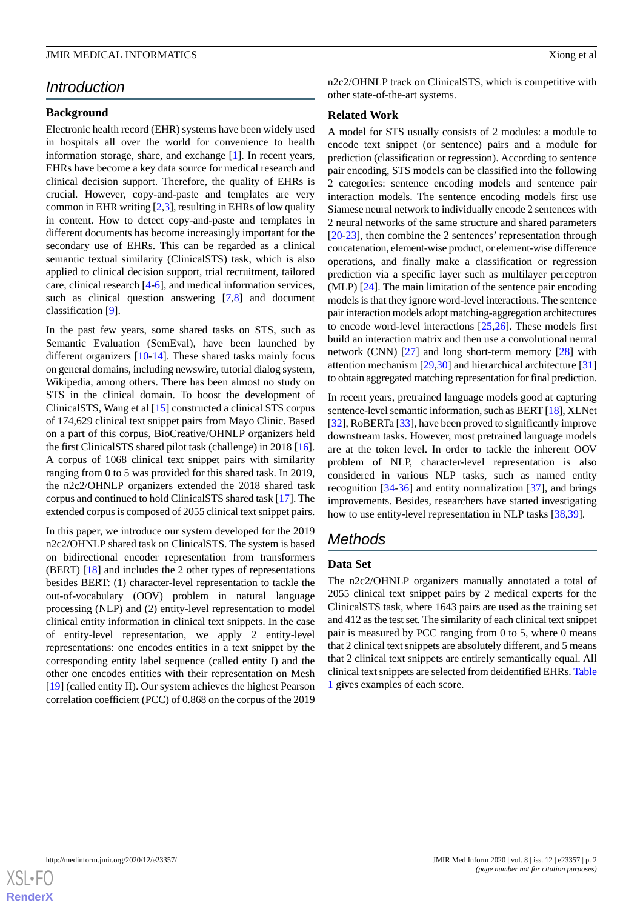# *Introduction*

#### **Background**

Electronic health record (EHR) systems have been widely used in hospitals all over the world for convenience to health information storage, share, and exchange [\[1](#page-6-0)]. In recent years, EHRs have become a key data source for medical research and clinical decision support. Therefore, the quality of EHRs is crucial. However, copy-and-paste and templates are very common in EHR writing [[2](#page-6-1)[,3](#page-6-2)], resulting in EHRs of low quality in content. How to detect copy-and-paste and templates in different documents has become increasingly important for the secondary use of EHRs. This can be regarded as a clinical semantic textual similarity (ClinicalSTS) task, which is also applied to clinical decision support, trial recruitment, tailored care, clinical research [[4](#page-7-0)[-6](#page-7-1)], and medical information services, such as clinical question answering [\[7](#page-7-2),[8\]](#page-7-3) and document classification [[9\]](#page-7-4).

In the past few years, some shared tasks on STS, such as Semantic Evaluation (SemEval), have been launched by different organizers [[10-](#page-7-5)[14\]](#page-7-6). These shared tasks mainly focus on general domains, including newswire, tutorial dialog system, Wikipedia, among others. There has been almost no study on STS in the clinical domain. To boost the development of ClinicalSTS, Wang et al [[15\]](#page-7-7) constructed a clinical STS corpus of 174,629 clinical text snippet pairs from Mayo Clinic. Based on a part of this corpus, BioCreative/OHNLP organizers held the first ClinicalSTS shared pilot task (challenge) in 2018 [[16\]](#page-7-8). A corpus of 1068 clinical text snippet pairs with similarity ranging from 0 to 5 was provided for this shared task. In 2019, the n2c2/OHNLP organizers extended the 2018 shared task corpus and continued to hold ClinicalSTS shared task [\[17](#page-7-9)]. The extended corpus is composed of 2055 clinical text snippet pairs.

In this paper, we introduce our system developed for the 2019 n2c2/OHNLP shared task on ClinicalSTS. The system is based on bidirectional encoder representation from transformers (BERT) [\[18](#page-7-10)] and includes the 2 other types of representations besides BERT: (1) character-level representation to tackle the out-of-vocabulary (OOV) problem in natural language processing (NLP) and (2) entity-level representation to model clinical entity information in clinical text snippets. In the case of entity-level representation, we apply 2 entity-level representations: one encodes entities in a text snippet by the corresponding entity label sequence (called entity I) and the other one encodes entities with their representation on Mesh [[19\]](#page-7-11) (called entity II). Our system achieves the highest Pearson correlation coefficient (PCC) of 0.868 on the corpus of the 2019

n2c2/OHNLP track on ClinicalSTS, which is competitive with other state-of-the-art systems.

### **Related Work**

A model for STS usually consists of 2 modules: a module to encode text snippet (or sentence) pairs and a module for prediction (classification or regression). According to sentence pair encoding, STS models can be classified into the following 2 categories: sentence encoding models and sentence pair interaction models. The sentence encoding models first use Siamese neural network to individually encode 2 sentences with 2 neural networks of the same structure and shared parameters [[20](#page-7-12)[-23](#page-8-0)], then combine the 2 sentences' representation through concatenation, element-wise product, or element-wise difference operations, and finally make a classification or regression prediction via a specific layer such as multilayer perceptron (MLP) [\[24](#page-8-1)]. The main limitation of the sentence pair encoding models is that they ignore word-level interactions. The sentence pair interaction models adopt matching-aggregation architectures to encode word-level interactions [[25](#page-8-2)[,26](#page-8-3)]. These models first build an interaction matrix and then use a convolutional neural network (CNN) [[27](#page-8-4)] and long short-term memory [[28\]](#page-8-5) with attention mechanism [\[29](#page-8-6),[30\]](#page-8-7) and hierarchical architecture [\[31](#page-8-8)] to obtain aggregated matching representation for final prediction.

In recent years, pretrained language models good at capturing sentence-level semantic information, such as BERT [\[18\]](#page-7-10), XLNet [[32\]](#page-8-9), RoBERTa [\[33](#page-8-10)], have been proved to significantly improve downstream tasks. However, most pretrained language models are at the token level. In order to tackle the inherent OOV problem of NLP, character-level representation is also considered in various NLP tasks, such as named entity recognition [[34-](#page-8-11)[36](#page-8-12)] and entity normalization [\[37](#page-8-13)], and brings improvements. Besides, researchers have started investigating how to use entity-level representation in NLP tasks [[38,](#page-8-14)[39](#page-9-0)].

# *Methods*

# **Data Set**

The n2c2/OHNLP organizers manually annotated a total of 2055 clinical text snippet pairs by 2 medical experts for the ClinicalSTS task, where 1643 pairs are used as the training set and 412 as the test set. The similarity of each clinical text snippet pair is measured by PCC ranging from 0 to 5, where 0 means that 2 clinical text snippets are absolutely different, and 5 means that 2 clinical text snippets are entirely semantically equal. All clinical text snippets are selected from deidentified EHRs. [Table](#page-2-0) [1](#page-2-0) gives examples of each score.

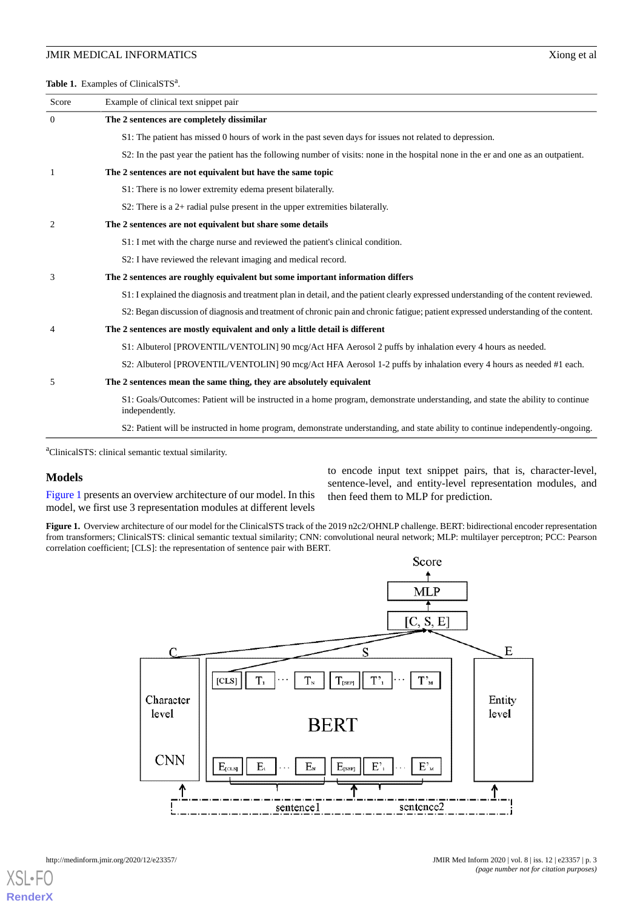<span id="page-2-0"></span>Table 1. Examples of ClinicalSTS<sup>a</sup>.

| Score          | Example of clinical text snippet pair                                                                                                            |  |
|----------------|--------------------------------------------------------------------------------------------------------------------------------------------------|--|
| $\theta$       | The 2 sentences are completely dissimilar                                                                                                        |  |
|                | S1: The patient has missed 0 hours of work in the past seven days for issues not related to depression.                                          |  |
|                | S2: In the past year the patient has the following number of visits: none in the hospital none in the er and one as an outpatient.               |  |
| 1              | The 2 sentences are not equivalent but have the same topic                                                                                       |  |
|                | S1: There is no lower extremity edema present bilaterally.                                                                                       |  |
|                | S2: There is a $2+$ radial pulse present in the upper extremities bilaterally.                                                                   |  |
| $\overline{2}$ | The 2 sentences are not equivalent but share some details                                                                                        |  |
|                | S1: I met with the charge nurse and reviewed the patient's clinical condition.                                                                   |  |
|                | S2: I have reviewed the relevant imaging and medical record.                                                                                     |  |
| 3              | The 2 sentences are roughly equivalent but some important information differs                                                                    |  |
|                | S1: I explained the diagnosis and treatment plan in detail, and the patient clearly expressed understanding of the content reviewed.             |  |
|                | S2: Began discussion of diagnosis and treatment of chronic pain and chronic fatigue; patient expressed understanding of the content.             |  |
| 4              | The 2 sentences are mostly equivalent and only a little detail is different                                                                      |  |
|                | S1: Albuterol [PROVENTIL/VENTOLIN] 90 mcg/Act HFA Aerosol 2 puffs by inhalation every 4 hours as needed.                                         |  |
|                | S2: Albuterol [PROVENTIL/VENTOLIN] 90 mcg/Act HFA Aerosol 1-2 puffs by inhalation every 4 hours as needed #1 each.                               |  |
| 5              | The 2 sentences mean the same thing, they are absolutely equivalent                                                                              |  |
|                | S1: Goals/Outcomes: Patient will be instructed in a home program, demonstrate understanding, and state the ability to continue<br>independently. |  |
|                | S2: Patient will be instructed in home program, demonstrate understanding, and state ability to continue independently-ongoing.                  |  |

<sup>a</sup>ClinicalSTS: clinical semantic textual similarity.

#### <span id="page-2-1"></span>**Models**

[Figure 1](#page-2-1) presents an overview architecture of our model. In this model, we first use 3 representation modules at different levels to encode input text snippet pairs, that is, character-level, sentence-level, and entity-level representation modules, and then feed them to MLP for prediction.

Figure 1. Overview architecture of our model for the ClinicalSTS track of the 2019 n2c2/OHNLP challenge. BERT: bidirectional encoder representation from transformers; ClinicalSTS: clinical semantic textual similarity; CNN: convolutional neural network; MLP: multilayer perceptron; PCC: Pearson correlation coefficient; [CLS]: the representation of sentence pair with BERT.



 $X$ SL • **[RenderX](http://www.renderx.com/)**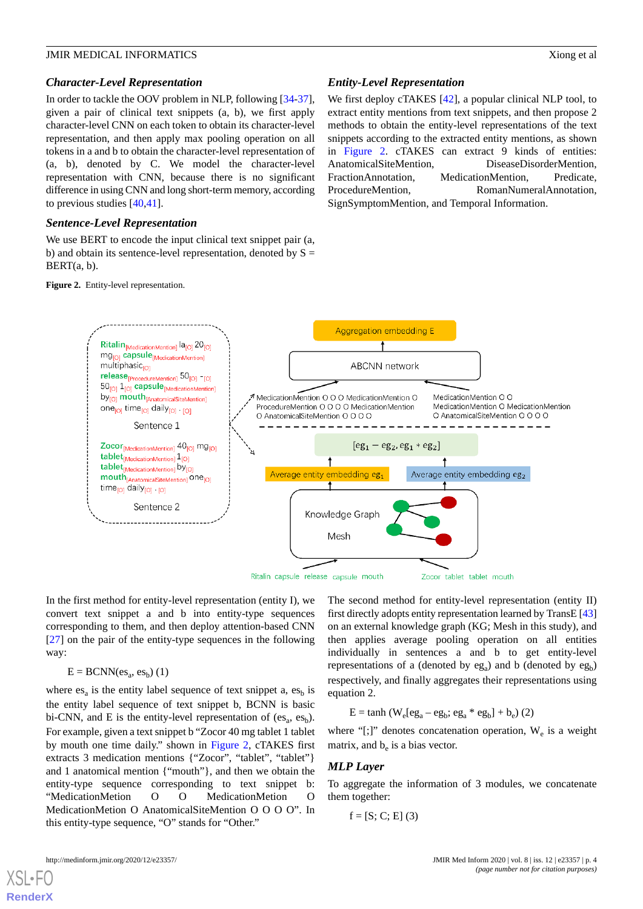#### *Character-Level Representation*

In order to tackle the OOV problem in NLP, following [\[34](#page-8-11)-[37\]](#page-8-13), given a pair of clinical text snippets (a, b), we first apply character-level CNN on each token to obtain its character-level representation, and then apply max pooling operation on all tokens in a and b to obtain the character-level representation of (a, b), denoted by C. We model the character-level representation with CNN, because there is no significant difference in using CNN and long short-term memory, according to previous studies [\[40](#page-9-1),[41\]](#page-9-2).

#### *Sentence-Level Representation*

<span id="page-3-0"></span>We use BERT to encode the input clinical text snippet pair  $(a, a)$ b) and obtain its sentence-level representation, denoted by  $S =$ BERT(a, b).

**Figure 2.** Entity-level representation.

### *Entity-Level Representation*

We first deploy cTAKES [\[42](#page-9-3)], a popular clinical NLP tool, to extract entity mentions from text snippets, and then propose 2 methods to obtain the entity-level representations of the text snippets according to the extracted entity mentions, as shown in [Figure 2.](#page-3-0) cTAKES can extract 9 kinds of entities: AnatomicalSiteMention, DiseaseDisorderMention, FractionAnnotation, MedicationMention, Predicate, ProcedureMention, RomanNumeralAnnotation, SignSymptomMention, and Temporal Information.



In the first method for entity-level representation (entity I), we convert text snippet a and b into entity-type sequences corresponding to them, and then deploy attention-based CNN [[27\]](#page-8-4) on the pair of the entity-type sequences in the following way:

# $E = BCNN(es_a, es_b)$  (1)

where  $es_a$  is the entity label sequence of text snippet a,  $es_b$  is the entity label sequence of text snippet b, BCNN is basic bi-CNN, and E is the entity-level representation of  $(es_a, es_b)$ . For example, given a text snippet b "Zocor 40 mg tablet 1 tablet by mouth one time daily." shown in [Figure 2](#page-3-0), cTAKES first extracts 3 medication mentions {"Zocor", "tablet", "tablet"} and 1 anatomical mention {"mouth"}, and then we obtain the entity-type sequence corresponding to text snippet b: "MedicationMetion O O MedicationMetion O MedicationMetion O AnatomicalSiteMention O O O O". In this entity-type sequence, "O" stands for "Other."

The second method for entity-level representation (entity II) first directly adopts entity representation learned by TransE [[43\]](#page-9-4) on an external knowledge graph (KG; Mesh in this study), and then applies average pooling operation on all entities individually in sentences a and b to get entity-level representations of a (denoted by  $eg_a$ ) and b (denoted by  $eg_b$ ) respectively, and finally aggregates their representations using equation 2.

$$
E = \tanh (W_e[eg_a - eg_b; eg_a * eg_b] + b_e)
$$
 (2)

where "[;]" denotes concatenation operation,  $W_e$  is a weight matrix, and  $b_e$  is a bias vector.

#### *MLP Layer*

To aggregate the information of 3 modules, we concatenate them together:

$$
f = [S; C; E] (3)
$$



[XSL](http://www.w3.org/Style/XSL)•FO **[RenderX](http://www.renderx.com/)**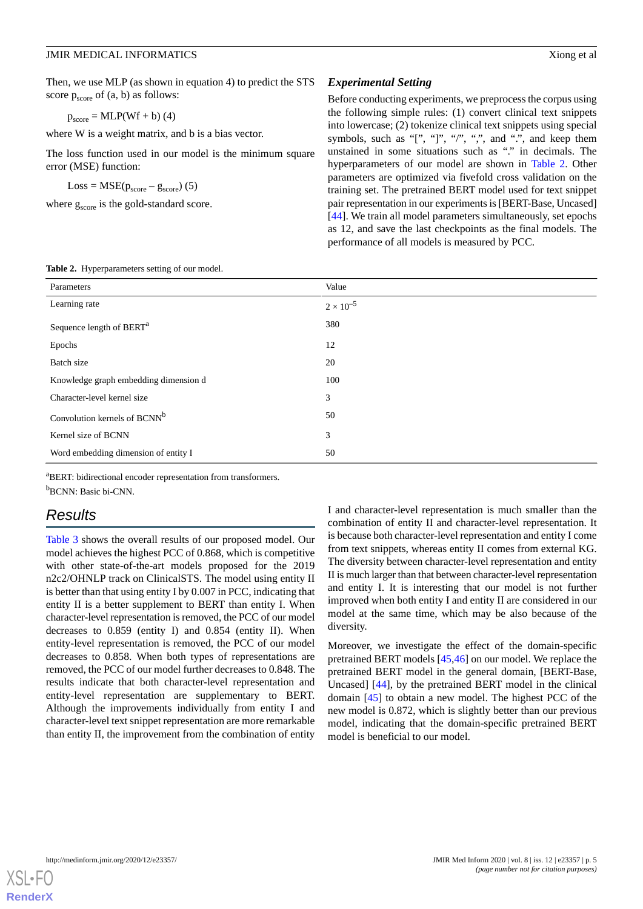Then, we use MLP (as shown in equation 4) to predict the STS score  $p_{score}$  of  $(a, b)$  as follows:

 $p_{score} = MLP(Wf + b)$  (4)

where W is a weight matrix, and b is a bias vector.

The loss function used in our model is the minimum square error (MSE) function:

 $Loss = MSE(p_{score} - g_{score})$  (5)

where  $g_{\text{score}}$  is the gold-standard score.

#### *Experimental Setting*

Before conducting experiments, we preprocess the corpus using the following simple rules: (1) convert clinical text snippets into lowercase; (2) tokenize clinical text snippets using special symbols, such as "[", "]", "/", ",", and " $\cdots$ , and keep them unstained in some situations such as "." in decimals. The hyperparameters of our model are shown in [Table 2](#page-4-0). Other parameters are optimized via fivefold cross validation on the training set. The pretrained BERT model used for text snippet pair representation in our experiments is [BERT-Base, Uncased] [[44\]](#page-9-5). We train all model parameters simultaneously, set epochs as 12, and save the last checkpoints as the final models. The performance of all models is measured by PCC.

| Parameters                               | Value              |  |
|------------------------------------------|--------------------|--|
| Learning rate                            | $2 \times 10^{-5}$ |  |
| Sequence length of BERT <sup>a</sup>     | 380                |  |
| Epochs                                   | 12                 |  |
| Batch size                               | 20                 |  |
| Knowledge graph embedding dimension d    | 100                |  |
| Character-level kernel size              | 3                  |  |
| Convolution kernels of BCNN <sup>b</sup> | 50                 |  |

<span id="page-4-0"></span>**Table 2.** Hyperparameters setting of our model.

<sup>a</sup>BERT: bidirectional encoder representation from transformers. <sup>b</sup>BCNN: Basic bi-CNN.

Kernel size of BCNN 3 Word embedding dimension of entity I 50

# *Results*

[Table 3](#page-5-0) shows the overall results of our proposed model. Our model achieves the highest PCC of 0.868, which is competitive with other state-of-the-art models proposed for the 2019 n2c2/OHNLP track on ClinicalSTS. The model using entity II is better than that using entity I by 0.007 in PCC, indicating that entity II is a better supplement to BERT than entity I. When character-level representation is removed, the PCC of our model decreases to 0.859 (entity I) and 0.854 (entity II). When entity-level representation is removed, the PCC of our model decreases to 0.858. When both types of representations are removed, the PCC of our model further decreases to 0.848. The results indicate that both character-level representation and entity-level representation are supplementary to BERT. Although the improvements individually from entity I and character-level text snippet representation are more remarkable than entity II, the improvement from the combination of entity

I and character-level representation is much smaller than the combination of entity II and character-level representation. It is because both character-level representation and entity I come from text snippets, whereas entity II comes from external KG. The diversity between character-level representation and entity II is much larger than that between character-level representation and entity I. It is interesting that our model is not further improved when both entity I and entity II are considered in our model at the same time, which may be also because of the diversity.

Moreover, we investigate the effect of the domain-specific pretrained BERT models [\[45](#page-9-6),[46\]](#page-9-7) on our model. We replace the pretrained BERT model in the general domain, [BERT-Base, Uncased] [\[44](#page-9-5)], by the pretrained BERT model in the clinical domain [\[45](#page-9-6)] to obtain a new model. The highest PCC of the new model is 0.872, which is slightly better than our previous model, indicating that the domain-specific pretrained BERT model is beneficial to our model.

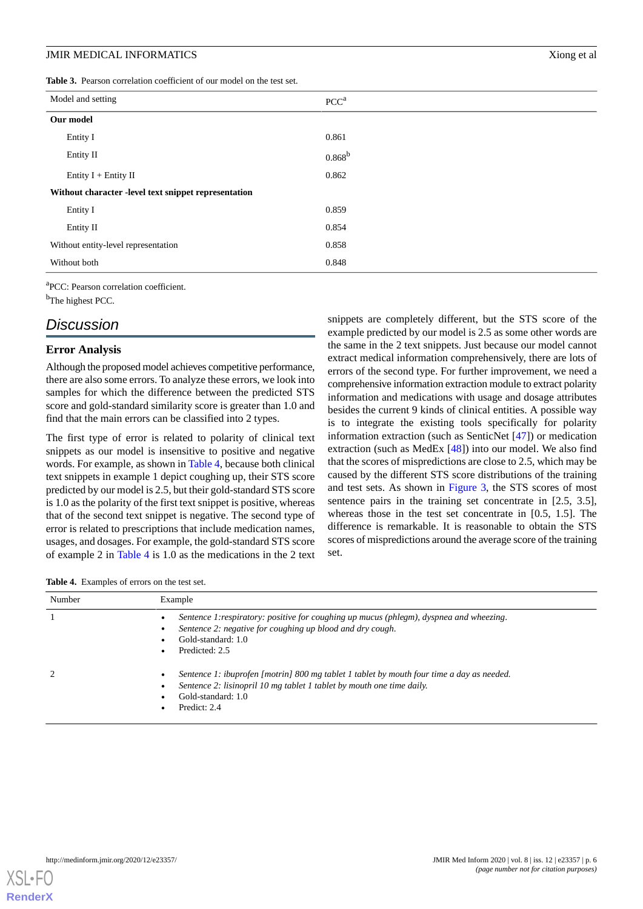<span id="page-5-0"></span>**Table 3.** Pearson correlation coefficient of our model on the test set.

| Model and setting                                    | PCC <sup>a</sup> |
|------------------------------------------------------|------------------|
| Our model                                            |                  |
| Entity I                                             | 0.861            |
| Entity II                                            | $0.868^{\rm b}$  |
| Entity $I +$ Entity II                               | 0.862            |
| Without character -level text snippet representation |                  |
| Entity I                                             | 0.859            |
| Entity II                                            | 0.854            |
| Without entity-level representation                  | 0.858            |
| Without both                                         | 0.848            |

a PCC: Pearson correlation coefficient.

b<sub>The highest PCC</sub>.

# *Discussion*

#### **Error Analysis**

Although the proposed model achieves competitive performance, there are also some errors. To analyze these errors, we look into samples for which the difference between the predicted STS score and gold-standard similarity score is greater than 1.0 and find that the main errors can be classified into 2 types.

The first type of error is related to polarity of clinical text snippets as our model is insensitive to positive and negative words. For example, as shown in [Table 4,](#page-5-1) because both clinical text snippets in example 1 depict coughing up, their STS score predicted by our model is 2.5, but their gold-standard STS score is 1.0 as the polarity of the first text snippet is positive, whereas that of the second text snippet is negative. The second type of error is related to prescriptions that include medication names, usages, and dosages. For example, the gold-standard STS score of example 2 in [Table 4](#page-5-1) is 1.0 as the medications in the 2 text snippets are completely different, but the STS score of the example predicted by our model is 2.5 as some other words are the same in the 2 text snippets. Just because our model cannot extract medical information comprehensively, there are lots of errors of the second type. For further improvement, we need a comprehensive information extraction module to extract polarity information and medications with usage and dosage attributes besides the current 9 kinds of clinical entities. A possible way is to integrate the existing tools specifically for polarity information extraction (such as SenticNet [[47\]](#page-9-8)) or medication extraction (such as MedEx [[48\]](#page-9-9)) into our model. We also find that the scores of mispredictions are close to 2.5, which may be caused by the different STS score distributions of the training and test sets. As shown in [Figure 3](#page-6-3), the STS scores of most sentence pairs in the training set concentrate in [2.5, 3.5], whereas those in the test set concentrate in [0.5, 1.5]. The difference is remarkable. It is reasonable to obtain the STS scores of mispredictions around the average score of the training set.

<span id="page-5-1"></span>

| Number | Example                                                                                                                                                                                                  |
|--------|----------------------------------------------------------------------------------------------------------------------------------------------------------------------------------------------------------|
|        | Sentence 1: respiratory: positive for coughing up mucus (phlegm), dyspnea and wheezing.<br>Sentence 2: negative for coughing up blood and dry cough.<br>Gold-standard: 1.0<br>Predicted: 2.5             |
|        | Sentence 1: ibuprofen [motrin] 800 mg tablet 1 tablet by mouth four time a day as needed.<br>Sentence 2: lisinopril 10 mg tablet 1 tablet by mouth one time daily.<br>Gold-standard: 1.0<br>Predict: 2.4 |

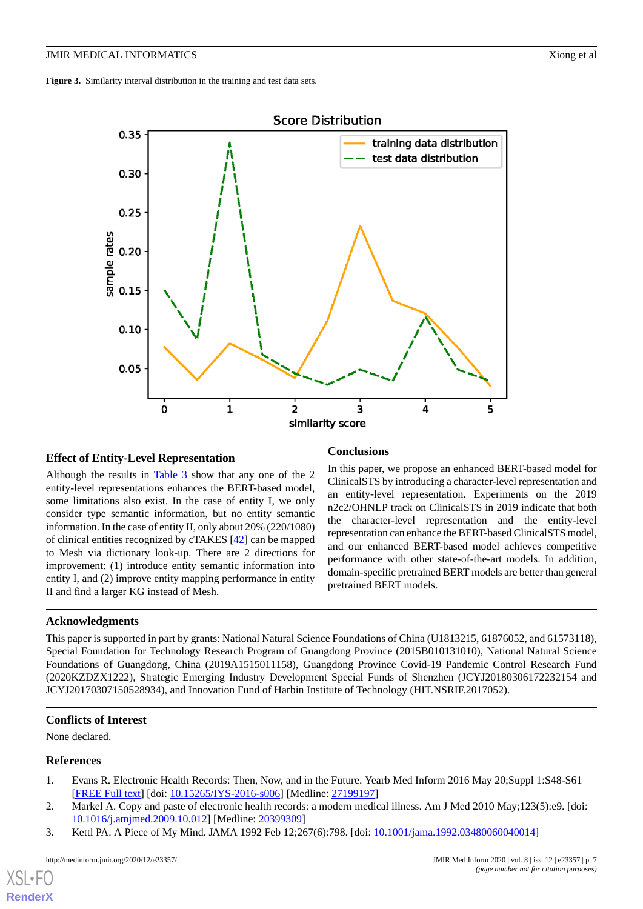<span id="page-6-3"></span>

# **Effect of Entity-Level Representation**

Although the results in [Table 3](#page-5-0) show that any one of the 2 entity-level representations enhances the BERT-based model, some limitations also exist. In the case of entity I, we only consider type semantic information, but no entity semantic information. In the case of entity II, only about 20% (220/1080) of clinical entities recognized by cTAKES [\[42](#page-9-3)] can be mapped to Mesh via dictionary look-up. There are 2 directions for improvement: (1) introduce entity semantic information into entity I, and (2) improve entity mapping performance in entity II and find a larger KG instead of Mesh.

#### **Conclusions**

In this paper, we propose an enhanced BERT-based model for ClinicalSTS by introducing a character-level representation and an entity-level representation. Experiments on the 2019 n2c2/OHNLP track on ClinicalSTS in 2019 indicate that both the character-level representation and the entity-level representation can enhance the BERT-based ClinicalSTS model, and our enhanced BERT-based model achieves competitive performance with other state-of-the-art models. In addition, domain-specific pretrained BERT models are better than general pretrained BERT models.

# **Acknowledgments**

This paper is supported in part by grants: National Natural Science Foundations of China (U1813215, 61876052, and 61573118), Special Foundation for Technology Research Program of Guangdong Province (2015B010131010), National Natural Science Foundations of Guangdong, China (2019A1515011158), Guangdong Province Covid-19 Pandemic Control Research Fund (2020KZDZX1222), Strategic Emerging Industry Development Special Funds of Shenzhen (JCYJ20180306172232154 and JCYJ20170307150528934), and Innovation Fund of Harbin Institute of Technology (HIT.NSRIF.2017052).

#### <span id="page-6-1"></span><span id="page-6-0"></span>**Conflicts of Interest**

None declared.

## <span id="page-6-2"></span>**References**

[XSL](http://www.w3.org/Style/XSL)•FO **[RenderX](http://www.renderx.com/)**

- 1. Evans R. Electronic Health Records: Then, Now, and in the Future. Yearb Med Inform 2016 May 20;Suppl 1:S48-S61 [[FREE Full text](http://www.thieme-connect.com/DOI/DOI?10.15265/IYS-2016-s006)] [doi: [10.15265/IYS-2016-s006](http://dx.doi.org/10.15265/IYS-2016-s006)] [Medline: [27199197](http://www.ncbi.nlm.nih.gov/entrez/query.fcgi?cmd=Retrieve&db=PubMed&list_uids=27199197&dopt=Abstract)]
- 2. Markel A. Copy and paste of electronic health records: a modern medical illness. Am J Med 2010 May;123(5):e9. [doi: [10.1016/j.amjmed.2009.10.012\]](http://dx.doi.org/10.1016/j.amjmed.2009.10.012) [Medline: [20399309\]](http://www.ncbi.nlm.nih.gov/entrez/query.fcgi?cmd=Retrieve&db=PubMed&list_uids=20399309&dopt=Abstract)
- 3. Kettl PA. A Piece of My Mind. JAMA 1992 Feb 12;267(6):798. [doi: [10.1001/jama.1992.03480060040014\]](http://dx.doi.org/10.1001/jama.1992.03480060040014)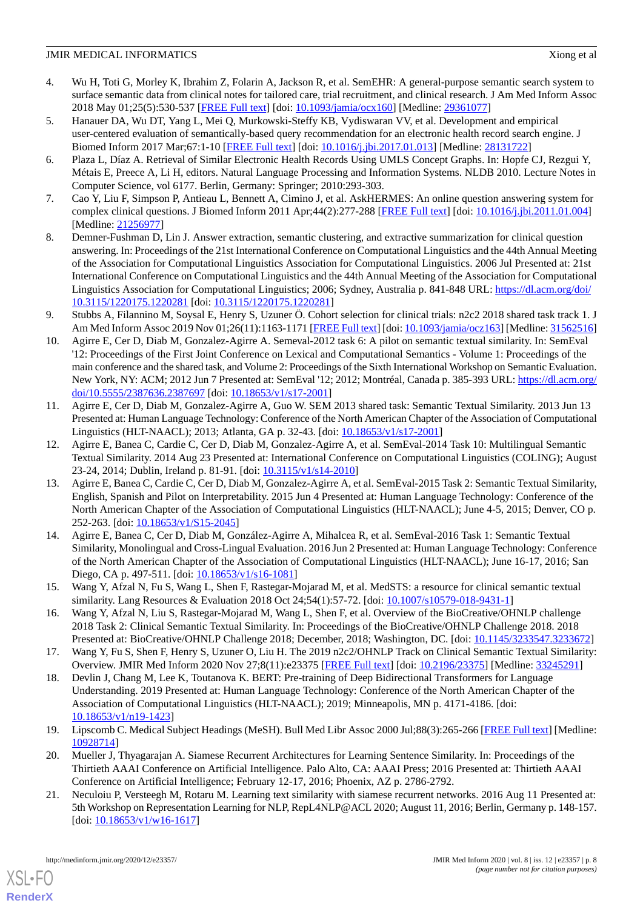- <span id="page-7-0"></span>4. Wu H, Toti G, Morley K, Ibrahim Z, Folarin A, Jackson R, et al. SemEHR: A general-purpose semantic search system to surface semantic data from clinical notes for tailored care, trial recruitment, and clinical research. J Am Med Inform Assoc 2018 May 01;25(5):530-537 [\[FREE Full text\]](http://europepmc.org/abstract/MED/29361077) [doi: [10.1093/jamia/ocx160\]](http://dx.doi.org/10.1093/jamia/ocx160) [Medline: [29361077](http://www.ncbi.nlm.nih.gov/entrez/query.fcgi?cmd=Retrieve&db=PubMed&list_uids=29361077&dopt=Abstract)]
- 5. Hanauer DA, Wu DT, Yang L, Mei Q, Murkowski-Steffy KB, Vydiswaran VV, et al. Development and empirical user-centered evaluation of semantically-based query recommendation for an electronic health record search engine. J Biomed Inform 2017 Mar;67:1-10 [[FREE Full text](https://linkinghub.elsevier.com/retrieve/pii/S1532-0464(17)30017-5)] [doi: [10.1016/j.jbi.2017.01.013](http://dx.doi.org/10.1016/j.jbi.2017.01.013)] [Medline: [28131722\]](http://www.ncbi.nlm.nih.gov/entrez/query.fcgi?cmd=Retrieve&db=PubMed&list_uids=28131722&dopt=Abstract)
- <span id="page-7-1"></span>6. Plaza L, Díaz A. Retrieval of Similar Electronic Health Records Using UMLS Concept Graphs. In: Hopfe CJ, Rezgui Y, Métais E, Preece A, Li H, editors. Natural Language Processing and Information Systems. NLDB 2010. Lecture Notes in Computer Science, vol 6177. Berlin, Germany: Springer; 2010:293-303.
- <span id="page-7-3"></span><span id="page-7-2"></span>7. Cao Y, Liu F, Simpson P, Antieau L, Bennett A, Cimino J, et al. AskHERMES: An online question answering system for complex clinical questions. J Biomed Inform 2011 Apr;44(2):277-288 [\[FREE Full text\]](https://linkinghub.elsevier.com/retrieve/pii/S1532-0464(11)00006-2) [doi: [10.1016/j.jbi.2011.01.004](http://dx.doi.org/10.1016/j.jbi.2011.01.004)] [Medline: [21256977](http://www.ncbi.nlm.nih.gov/entrez/query.fcgi?cmd=Retrieve&db=PubMed&list_uids=21256977&dopt=Abstract)]
- 8. Demner-Fushman D, Lin J. Answer extraction, semantic clustering, and extractive summarization for clinical question answering. In: Proceedings of the 21st International Conference on Computational Linguistics and the 44th Annual Meeting of the Association for Computational Linguistics Association for Computational Linguistics. 2006 Jul Presented at: 21st International Conference on Computational Linguistics and the 44th Annual Meeting of the Association for Computational Linguistics Association for Computational Linguistics; 2006; Sydney, Australia p. 841-848 URL: [https://dl.acm.org/doi/](https://dl.acm.org/doi/10.3115/1220175.1220281) [10.3115/1220175.1220281](https://dl.acm.org/doi/10.3115/1220175.1220281) [doi: [10.3115/1220175.1220281\]](http://dx.doi.org/10.3115/1220175.1220281)
- <span id="page-7-5"></span><span id="page-7-4"></span>9. Stubbs A, Filannino M, Soysal E, Henry S, Uzuner Ö. Cohort selection for clinical trials: n2c2 2018 shared task track 1. J Am Med Inform Assoc 2019 Nov 01;26(11):1163-1171 [\[FREE Full text](http://europepmc.org/abstract/MED/31562516)] [doi: [10.1093/jamia/ocz163](http://dx.doi.org/10.1093/jamia/ocz163)] [Medline: [31562516\]](http://www.ncbi.nlm.nih.gov/entrez/query.fcgi?cmd=Retrieve&db=PubMed&list_uids=31562516&dopt=Abstract)
- 10. Agirre E, Cer D, Diab M, Gonzalez-Agirre A. Semeval-2012 task 6: A pilot on semantic textual similarity. In: SemEval '12: Proceedings of the First Joint Conference on Lexical and Computational Semantics - Volume 1: Proceedings of the main conference and the shared task, and Volume 2: Proceedings of the Sixth International Workshop on Semantic Evaluation. New York, NY: ACM; 2012 Jun 7 Presented at: SemEval '12; 2012; Montréal, Canada p. 385-393 URL: [https://dl.acm.org/](https://dl.acm.org/doi/10.5555/2387636.2387697) [doi/10.5555/2387636.2387697](https://dl.acm.org/doi/10.5555/2387636.2387697) [doi: [10.18653/v1/s17-2001](http://dx.doi.org/10.18653/v1/s17-2001)]
- 11. Agirre E, Cer D, Diab M, Gonzalez-Agirre A, Guo W. SEM 2013 shared task: Semantic Textual Similarity. 2013 Jun 13 Presented at: Human Language Technology: Conference of the North American Chapter of the Association of Computational Linguistics (HLT-NAACL); 2013; Atlanta, GA p. 32-43. [doi: [10.18653/v1/s17-2001\]](http://dx.doi.org/10.18653/v1/s17-2001)
- 12. Agirre E, Banea C, Cardie C, Cer D, Diab M, Gonzalez-Agirre A, et al. SemEval-2014 Task 10: Multilingual Semantic Textual Similarity. 2014 Aug 23 Presented at: International Conference on Computational Linguistics (COLING); August 23-24, 2014; Dublin, Ireland p. 81-91. [doi: [10.3115/v1/s14-2010\]](http://dx.doi.org/10.3115/v1/s14-2010)
- <span id="page-7-6"></span>13. Agirre E, Banea C, Cardie C, Cer D, Diab M, Gonzalez-Agirre A, et al. SemEval-2015 Task 2: Semantic Textual Similarity, English, Spanish and Pilot on Interpretability. 2015 Jun 4 Presented at: Human Language Technology: Conference of the North American Chapter of the Association of Computational Linguistics (HLT-NAACL); June 4-5, 2015; Denver, CO p. 252-263. [doi: [10.18653/v1/S15-2045](http://dx.doi.org/10.18653/v1/S15-2045)]
- <span id="page-7-8"></span><span id="page-7-7"></span>14. Agirre E, Banea C, Cer D, Diab M, González-Agirre A, Mihalcea R, et al. SemEval-2016 Task 1: Semantic Textual Similarity, Monolingual and Cross-Lingual Evaluation. 2016 Jun 2 Presented at: Human Language Technology: Conference of the North American Chapter of the Association of Computational Linguistics (HLT-NAACL); June 16-17, 2016; San Diego, CA p. 497-511. [doi: [10.18653/v1/s16-1081](http://dx.doi.org/10.18653/v1/s16-1081)]
- <span id="page-7-9"></span>15. Wang Y, Afzal N, Fu S, Wang L, Shen F, Rastegar-Mojarad M, et al. MedSTS: a resource for clinical semantic textual similarity. Lang Resources & Evaluation 2018 Oct 24;54(1):57-72. [doi: [10.1007/s10579-018-9431-1](http://dx.doi.org/10.1007/s10579-018-9431-1)]
- <span id="page-7-10"></span>16. Wang Y, Afzal N, Liu S, Rastegar-Mojarad M, Wang L, Shen F, et al. Overview of the BioCreative/OHNLP challenge 2018 Task 2: Clinical Semantic Textual Similarity. In: Proceedings of the BioCreative/OHNLP Challenge 2018. 2018 Presented at: BioCreative/OHNLP Challenge 2018; December, 2018; Washington, DC. [doi: [10.1145/3233547.3233672\]](http://dx.doi.org/10.1145/3233547.3233672)
- <span id="page-7-11"></span>17. Wang Y, Fu S, Shen F, Henry S, Uzuner O, Liu H. The 2019 n2c2/OHNLP Track on Clinical Semantic Textual Similarity: Overview. JMIR Med Inform 2020 Nov 27;8(11):e23375 [[FREE Full text](https://medinform.jmir.org/2020/11/e23375/)] [doi: [10.2196/23375\]](http://dx.doi.org/10.2196/23375) [Medline: [33245291](http://www.ncbi.nlm.nih.gov/entrez/query.fcgi?cmd=Retrieve&db=PubMed&list_uids=33245291&dopt=Abstract)]
- <span id="page-7-12"></span>18. Devlin J, Chang M, Lee K, Toutanova K. BERT: Pre-training of Deep Bidirectional Transformers for Language Understanding. 2019 Presented at: Human Language Technology: Conference of the North American Chapter of the Association of Computational Linguistics (HLT-NAACL); 2019; Minneapolis, MN p. 4171-4186. [doi: [10.18653/v1/n19-1423\]](http://dx.doi.org/10.18653/v1/n19-1423)
- 19. Lipscomb C. Medical Subject Headings (MeSH). Bull Med Libr Assoc 2000 Jul;88(3):265-266 [\[FREE Full text\]](http://europepmc.org/abstract/MED/10928714) [Medline: [10928714](http://www.ncbi.nlm.nih.gov/entrez/query.fcgi?cmd=Retrieve&db=PubMed&list_uids=10928714&dopt=Abstract)]
- 20. Mueller J, Thyagarajan A. Siamese Recurrent Architectures for Learning Sentence Similarity. In: Proceedings of the Thirtieth AAAI Conference on Artificial Intelligence. Palo Alto, CA: AAAI Press; 2016 Presented at: Thirtieth AAAI Conference on Artificial Intelligence; February 12-17, 2016; Phoenix, AZ p. 2786-2792.
- 21. Neculoiu P, Versteegh M, Rotaru M. Learning text similarity with siamese recurrent networks. 2016 Aug 11 Presented at: 5th Workshop on Representation Learning for NLP, RepL4NLP@ACL 2020; August 11, 2016; Berlin, Germany p. 148-157. [doi: [10.18653/v1/w16-1617\]](http://dx.doi.org/10.18653/v1/w16-1617)

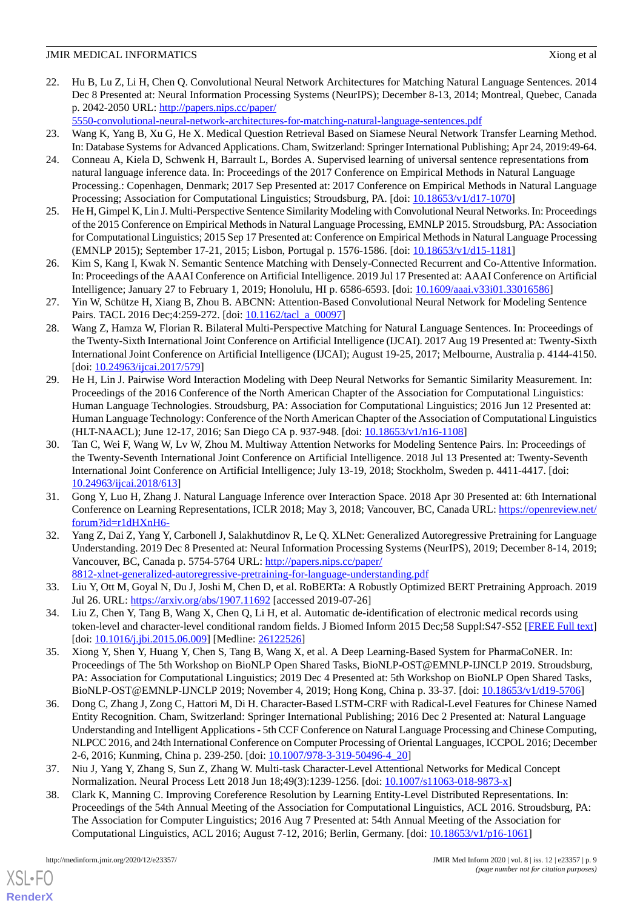22. Hu B, Lu Z, Li H, Chen Q. Convolutional Neural Network Architectures for Matching Natural Language Sentences. 2014 Dec 8 Presented at: Neural Information Processing Systems (NeurIPS); December 8-13, 2014; Montreal, Quebec, Canada p. 2042-2050 URL: [http://papers.nips.cc/paper/](http://papers.nips.cc/paper/5550-convolutional-neural-network-architectures-for-matching-natural-language-sentences.pdf)

[5550-convolutional-neural-network-architectures-for-matching-natural-language-sentences.pdf](http://papers.nips.cc/paper/5550-convolutional-neural-network-architectures-for-matching-natural-language-sentences.pdf)

- <span id="page-8-1"></span><span id="page-8-0"></span>23. Wang K, Yang B, Xu G, He X. Medical Question Retrieval Based on Siamese Neural Network Transfer Learning Method. In: Database Systems for Advanced Applications. Cham, Switzerland: Springer International Publishing; Apr 24, 2019:49-64.
- 24. Conneau A, Kiela D, Schwenk H, Barrault L, Bordes A. Supervised learning of universal sentence representations from natural language inference data. In: Proceedings of the 2017 Conference on Empirical Methods in Natural Language Processing.: Copenhagen, Denmark; 2017 Sep Presented at: 2017 Conference on Empirical Methods in Natural Language Processing; Association for Computational Linguistics; Stroudsburg, PA. [doi: [10.18653/v1/d17-1070\]](http://dx.doi.org/10.18653/v1/d17-1070)
- <span id="page-8-2"></span>25. He H, Gimpel K, Lin J. Multi-Perspective Sentence Similarity Modeling with Convolutional Neural Networks. In: Proceedings of the 2015 Conference on Empirical Methods in Natural Language Processing, EMNLP 2015. Stroudsburg, PA: Association for Computational Linguistics; 2015 Sep 17 Presented at: Conference on Empirical Methods in Natural Language Processing (EMNLP 2015); September 17-21, 2015; Lisbon, Portugal p. 1576-1586. [doi: [10.18653/v1/d15-1181\]](http://dx.doi.org/10.18653/v1/d15-1181)
- <span id="page-8-4"></span><span id="page-8-3"></span>26. Kim S, Kang I, Kwak N. Semantic Sentence Matching with Densely-Connected Recurrent and Co-Attentive Information. In: Proceedings of the AAAI Conference on Artificial Intelligence. 2019 Jul 17 Presented at: AAAI Conference on Artificial Intelligence; January 27 to February 1, 2019; Honolulu, HI p. 6586-6593. [doi: [10.1609/aaai.v33i01.33016586\]](http://dx.doi.org/10.1609/aaai.v33i01.33016586)
- <span id="page-8-5"></span>27. Yin W, Schütze H, Xiang B, Zhou B. ABCNN: Attention-Based Convolutional Neural Network for Modeling Sentence Pairs. TACL 2016 Dec;4:259-272. [doi: [10.1162/tacl\\_a\\_00097\]](http://dx.doi.org/10.1162/tacl_a_00097)
- <span id="page-8-6"></span>28. Wang Z, Hamza W, Florian R. Bilateral Multi-Perspective Matching for Natural Language Sentences. In: Proceedings of the Twenty-Sixth International Joint Conference on Artificial Intelligence (IJCAI). 2017 Aug 19 Presented at: Twenty-Sixth International Joint Conference on Artificial Intelligence (IJCAI); August 19-25, 2017; Melbourne, Australia p. 4144-4150. [doi: [10.24963/ijcai.2017/579\]](http://dx.doi.org/10.24963/ijcai.2017/579)
- <span id="page-8-7"></span>29. He H, Lin J. Pairwise Word Interaction Modeling with Deep Neural Networks for Semantic Similarity Measurement. In: Proceedings of the 2016 Conference of the North American Chapter of the Association for Computational Linguistics: Human Language Technologies. Stroudsburg, PA: Association for Computational Linguistics; 2016 Jun 12 Presented at: Human Language Technology: Conference of the North American Chapter of the Association of Computational Linguistics (HLT-NAACL); June 12-17, 2016; San Diego CA p. 937-948. [doi: [10.18653/v1/n16-1108](http://dx.doi.org/10.18653/v1/n16-1108)]
- <span id="page-8-8"></span>30. Tan C, Wei F, Wang W, Lv W, Zhou M. Multiway Attention Networks for Modeling Sentence Pairs. In: Proceedings of the Twenty-Seventh International Joint Conference on Artificial Intelligence. 2018 Jul 13 Presented at: Twenty-Seventh International Joint Conference on Artificial Intelligence; July 13-19, 2018; Stockholm, Sweden p. 4411-4417. [doi: [10.24963/ijcai.2018/613](http://dx.doi.org/10.24963/ijcai.2018/613)]
- <span id="page-8-9"></span>31. Gong Y, Luo H, Zhang J. Natural Language Inference over Interaction Space. 2018 Apr 30 Presented at: 6th International Conference on Learning Representations, ICLR 2018; May 3, 2018; Vancouver, BC, Canada URL: [https://openreview.net/](https://openreview.net/forum?id=r1dHXnH6-) [forum?id=r1dHXnH6-](https://openreview.net/forum?id=r1dHXnH6-)
- <span id="page-8-11"></span><span id="page-8-10"></span>32. Yang Z, Dai Z, Yang Y, Carbonell J, Salakhutdinov R, Le Q. XLNet: Generalized Autoregressive Pretraining for Language Understanding. 2019 Dec 8 Presented at: Neural Information Processing Systems (NeurIPS), 2019; December 8-14, 2019; Vancouver, BC, Canada p. 5754-5764 URL: [http://papers.nips.cc/paper/](http://papers.nips.cc/paper/8812-xlnet-generalized-autoregressive-pretraining-for-language-understanding.pdf) [8812-xlnet-generalized-autoregressive-pretraining-for-language-understanding.pdf](http://papers.nips.cc/paper/8812-xlnet-generalized-autoregressive-pretraining-for-language-understanding.pdf)
- 33. Liu Y, Ott M, Goyal N, Du J, Joshi M, Chen D, et al. RoBERTa: A Robustly Optimized BERT Pretraining Approach. 2019 Jul 26. URL: <https://arxiv.org/abs/1907.11692> [accessed 2019-07-26]
- 34. Liu Z, Chen Y, Tang B, Wang X, Chen Q, Li H, et al. Automatic de-identification of electronic medical records using token-level and character-level conditional random fields. J Biomed Inform 2015 Dec;58 Suppl:S47-S52 [\[FREE Full text](https://linkinghub.elsevier.com/retrieve/pii/S1532-0464(15)00119-7)] [doi: [10.1016/j.jbi.2015.06.009\]](http://dx.doi.org/10.1016/j.jbi.2015.06.009) [Medline: [26122526](http://www.ncbi.nlm.nih.gov/entrez/query.fcgi?cmd=Retrieve&db=PubMed&list_uids=26122526&dopt=Abstract)]
- <span id="page-8-12"></span>35. Xiong Y, Shen Y, Huang Y, Chen S, Tang B, Wang X, et al. A Deep Learning-Based System for PharmaCoNER. In: Proceedings of The 5th Workshop on BioNLP Open Shared Tasks, BioNLP-OST@EMNLP-IJNCLP 2019. Stroudsburg, PA: Association for Computational Linguistics; 2019 Dec 4 Presented at: 5th Workshop on BioNLP Open Shared Tasks, BioNLP-OST@EMNLP-IJNCLP 2019; November 4, 2019; Hong Kong, China p. 33-37. [doi: [10.18653/v1/d19-5706\]](http://dx.doi.org/10.18653/v1/d19-5706)
- <span id="page-8-14"></span><span id="page-8-13"></span>36. Dong C, Zhang J, Zong C, Hattori M, Di H. Character-Based LSTM-CRF with Radical-Level Features for Chinese Named Entity Recognition. Cham, Switzerland: Springer International Publishing; 2016 Dec 2 Presented at: Natural Language Understanding and Intelligent Applications - 5th CCF Conference on Natural Language Processing and Chinese Computing, NLPCC 2016, and 24th International Conference on Computer Processing of Oriental Languages, ICCPOL 2016; December 2-6, 2016; Kunming, China p. 239-250. [doi: [10.1007/978-3-319-50496-4\\_20\]](http://dx.doi.org/10.1007/978-3-319-50496-4_20)
- 37. Niu J, Yang Y, Zhang S, Sun Z, Zhang W. Multi-task Character-Level Attentional Networks for Medical Concept Normalization. Neural Process Lett 2018 Jun 18;49(3):1239-1256. [doi: [10.1007/s11063-018-9873-x\]](http://dx.doi.org/10.1007/s11063-018-9873-x)
- 38. Clark K, Manning C. Improving Coreference Resolution by Learning Entity-Level Distributed Representations. In: Proceedings of the 54th Annual Meeting of the Association for Computational Linguistics, ACL 2016. Stroudsburg, PA: The Association for Computer Linguistics; 2016 Aug 7 Presented at: 54th Annual Meeting of the Association for Computational Linguistics, ACL 2016; August 7-12, 2016; Berlin, Germany. [doi: [10.18653/v1/p16-1061\]](http://dx.doi.org/10.18653/v1/p16-1061)

[XSL](http://www.w3.org/Style/XSL)•FO **[RenderX](http://www.renderx.com/)**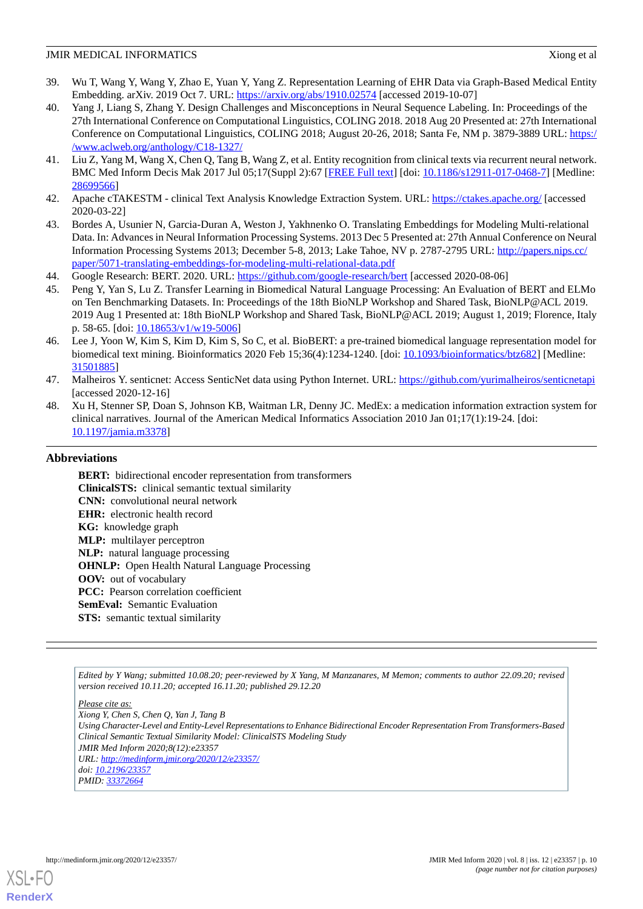- <span id="page-9-0"></span>39. Wu T, Wang Y, Wang Y, Zhao E, Yuan Y, Yang Z. Representation Learning of EHR Data via Graph-Based Medical Entity Embedding. arXiv. 2019 Oct 7. URL:<https://arxiv.org/abs/1910.02574> [accessed 2019-10-07]
- <span id="page-9-1"></span>40. Yang J, Liang S, Zhang Y. Design Challenges and Misconceptions in Neural Sequence Labeling. In: Proceedings of the 27th International Conference on Computational Linguistics, COLING 2018. 2018 Aug 20 Presented at: 27th International Conference on Computational Linguistics, COLING 2018; August 20-26, 2018; Santa Fe, NM p. 3879-3889 URL: [https:/](https://www.aclweb.org/anthology/C18-1327/) [/www.aclweb.org/anthology/C18-1327/](https://www.aclweb.org/anthology/C18-1327/)
- <span id="page-9-3"></span><span id="page-9-2"></span>41. Liu Z, Yang M, Wang X, Chen Q, Tang B, Wang Z, et al. Entity recognition from clinical texts via recurrent neural network. BMC Med Inform Decis Mak 2017 Jul 05;17(Suppl 2):67 [\[FREE Full text](https://bmcmedinformdecismak.biomedcentral.com/articles/10.1186/s12911-017-0468-7)] [doi: [10.1186/s12911-017-0468-7\]](http://dx.doi.org/10.1186/s12911-017-0468-7) [Medline: [28699566](http://www.ncbi.nlm.nih.gov/entrez/query.fcgi?cmd=Retrieve&db=PubMed&list_uids=28699566&dopt=Abstract)]
- <span id="page-9-4"></span>42. Apache cTAKESTM - clinical Text Analysis Knowledge Extraction System. URL:<https://ctakes.apache.org/> [accessed 2020-03-22]
- <span id="page-9-5"></span>43. Bordes A, Usunier N, Garcia-Duran A, Weston J, Yakhnenko O. Translating Embeddings for Modeling Multi-relational Data. In: Advances in Neural Information Processing Systems. 2013 Dec 5 Presented at: 27th Annual Conference on Neural Information Processing Systems 2013; December 5-8, 2013; Lake Tahoe, NV p. 2787-2795 URL: [http://papers.nips.cc/](http://papers.nips.cc/paper/5071-translating-embeddings-for-modeling-multi-relational-data.pdf) [paper/5071-translating-embeddings-for-modeling-multi-relational-data.pdf](http://papers.nips.cc/paper/5071-translating-embeddings-for-modeling-multi-relational-data.pdf)
- <span id="page-9-6"></span>44. Google Research: BERT. 2020. URL: <https://github.com/google-research/bert> [accessed 2020-08-06]
- <span id="page-9-7"></span>45. Peng Y, Yan S, Lu Z. Transfer Learning in Biomedical Natural Language Processing: An Evaluation of BERT and ELMo on Ten Benchmarking Datasets. In: Proceedings of the 18th BioNLP Workshop and Shared Task, BioNLP@ACL 2019. 2019 Aug 1 Presented at: 18th BioNLP Workshop and Shared Task, BioNLP@ACL 2019; August 1, 2019; Florence, Italy p. 58-65. [doi:  $10.18653/v1/w19-5006$ ]
- <span id="page-9-8"></span>46. Lee J, Yoon W, Kim S, Kim D, Kim S, So C, et al. BioBERT: a pre-trained biomedical language representation model for biomedical text mining. Bioinformatics 2020 Feb 15;36(4):1234-1240. [doi: [10.1093/bioinformatics/btz682](http://dx.doi.org/10.1093/bioinformatics/btz682)] [Medline: [31501885](http://www.ncbi.nlm.nih.gov/entrez/query.fcgi?cmd=Retrieve&db=PubMed&list_uids=31501885&dopt=Abstract)]
- <span id="page-9-9"></span>47. Malheiros Y. senticnet: Access SenticNet data using Python Internet. URL: <https://github.com/yurimalheiros/senticnetapi> [accessed 2020-12-16]
- 48. Xu H, Stenner SP, Doan S, Johnson KB, Waitman LR, Denny JC. MedEx: a medication information extraction system for clinical narratives. Journal of the American Medical Informatics Association 2010 Jan 01;17(1):19-24. [doi: [10.1197/jamia.m3378](http://dx.doi.org/10.1197/jamia.m3378)]

# **Abbreviations**

**BERT:** bidirectional encoder representation from transformers **ClinicalSTS:** clinical semantic textual similarity **CNN:** convolutional neural network **EHR:** electronic health record **KG:** knowledge graph **MLP:** multilayer perceptron **NLP:** natural language processing **OHNLP:** Open Health Natural Language Processing **OOV:** out of vocabulary PCC: Pearson correlation coefficient **SemEval:** Semantic Evaluation **STS:** semantic textual similarity

*Edited by Y Wang; submitted 10.08.20; peer-reviewed by X Yang, M Manzanares, M Memon; comments to author 22.09.20; revised version received 10.11.20; accepted 16.11.20; published 29.12.20*

*Please cite as:*

*Using Character-Level and Entity-Level Representations to Enhance Bidirectional Encoder Representation From Transformers-Based Clinical Semantic Textual Similarity Model: ClinicalSTS Modeling Study JMIR Med Inform 2020;8(12):e23357 URL: <http://medinform.jmir.org/2020/12/e23357/> doi: [10.2196/23357](http://dx.doi.org/10.2196/23357)*

*PMID: [33372664](http://www.ncbi.nlm.nih.gov/entrez/query.fcgi?cmd=Retrieve&db=PubMed&list_uids=33372664&dopt=Abstract)*



*Xiong Y, Chen S, Chen Q, Yan J, Tang B*